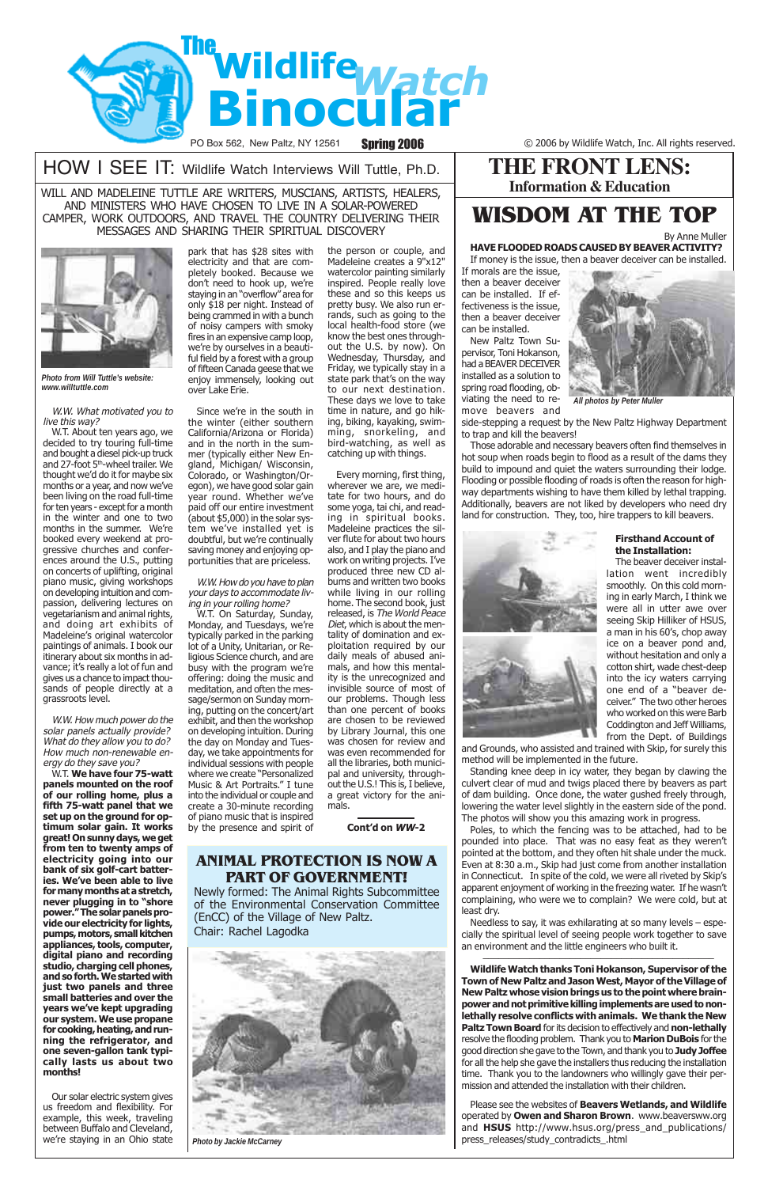

PO Box 562, New Paltz, NY 12561 Spring 2006 C 2006 by Wildlife Watch, Inc. All rights reserved.

# HOW I SEE IT: Wildlife Watch Interviews Will Tuttle, Ph.D.

#### W.W. What motivated you to live this way?

W.T. About ten years ago, we decided to try touring full-time and bought a diesel pick-up truck and 27-foot 5<sup>th</sup>-wheel trailer. We thought we'd do it for maybe six months or a year, and now we've been living on the road full-time for ten years - except for a month in the winter and one to two months in the summer. We're booked every weekend at progressive churches and conferences around the U.S., putting on concerts of uplifting, original piano music, giving workshops on developing intuition and compassion, delivering lectures on vegetarianism and animal rights, and doing art exhibits of Madeleine's original watercolor paintings of animals. I book our itinerary about six months in advance; it's really a lot of fun and gives us a chance to impact thousands of people directly at a grassroots level.

W.W. How much power do the solar panels actually provide? What do they allow you to do? How much non-renewable energy do they save you?

W.T. **We have four 75-watt panels mounted on the roof of our rolling home, plus a fifth 75-watt panel that we set up on the ground for optimum solar gain. It works great! On sunny days, we get from ten to twenty amps of electricity going into our bank of six golf-cart batteries. We've been able to live for many months at a stretch, never plugging in to "shore power." The solar panels provide our electricity for lights, pumps, motors, small kitchen appliances, tools, computer, digital piano and recording studio, charging cell phones, and so forth. We started with just two panels and three small batteries and over the years we've kept upgrading our system. We use propane for cooking, heating, and running the refrigerator, and one seven-gallon tank typically lasts us about two months!**

Our solar electric system gives us freedom and flexibility. For example, this week, traveling between Buffalo and Cleveland, we're staying in an Ohio state

WILL AND MADELEINE TUTTLE ARE WRITERS, MUSCIANS, ARTISTS, HEALERS, AND MINISTERS WHO HAVE CHOSEN TO LIVE IN A SOLAR-POWERED CAMPER, WORK OUTDOORS, AND TRAVEL THE COUNTRY DELIVERING THEIR MESSAGES AND SHARING THEIR SPIRITUAL DISCOVERY



*Photo from Will Tuttle's website: www.willtuttle.com*

park that has \$28 sites with electricity and that are completely booked. Because we don't need to hook up, we're staying in an "overflow" area for only \$18 per night. Instead of being crammed in with a bunch of noisy campers with smoky fires in an expensive camp loop, we're by ourselves in a beautiful field by a forest with a group of fifteen Canada geese that we enjoy immensely, looking out over Lake Erie.

Since we're in the south in the winter (either southern California/Arizona or Florida) and in the north in the summer (typically either New England, Michigan/ Wisconsin, Colorado, or Washington/Oregon), we have good solar gain year round. Whether we've paid off our entire investment (about \$5,000) in the solar system we've installed yet is doubtful, but we're continually saving money and enjoying opportunities that are priceless.

W.W. How do you have to plan your days to accommodate living in your rolling home?

> Poles, to which the fencing was to be attached, had to be pounded into place. That was no easy feat as they weren't pointed at the bottom, and they often hit shale under the muck. Even at 8:30 a.m., Skip had just come from another installation in Connecticut. In spite of the cold, we were all riveted by Skip's apparent enjoyment of working in the freezing water. If he wasn't complaining, who were we to complain? We were cold, but at least dry. Needless to say, it was exhilarating at so many levels – especially the spiritual level of seeing people work together to save an environment and the little engineers who built it.

W.T. On Saturday, Sunday, Monday, and Tuesdays, we're typically parked in the parking lot of a Unity, Unitarian, or Religious Science church, and are busy with the program we're offering: doing the music and meditation, and often the message/sermon on Sunday morning, putting on the concert/art exhibit, and then the workshop on developing intuition. During the day on Monday and Tuesday, we take appointments for individual sessions with people where we create "Personalized Music & Art Portraits." I tune into the individual or couple and create a 30-minute recording of piano music that is inspired by the presence and spirit of

the person or couple, and Madeleine creates a 9"x12" watercolor painting similarly inspired. People really love these and so this keeps us pretty busy. We also run errands, such as going to the local health-food store (we know the best ones throughout the U.S. by now). On Wednesday, Thursday, and Friday, we typically stay in a state park that's on the way to our next destination. These days we love to take time in nature, and go hiking, biking, kayaking, swimming, snorkeling, and bird-watching, as well as catching up with things.

Every morning, first thing, wherever we are, we meditate for two hours, and do some yoga, tai chi, and reading in spiritual books. Madeleine practices the silver flute for about two hours also, and I play the piano and work on writing projects. I've produced three new CD albums and written two books while living in our rolling home. The second book, just released, is The World Peace Diet, which is about the mentality of domination and exploitation required by our daily meals of abused animals, and how this mentality is the unrecognized and invisible source of most of our problems. Though less than one percent of books are chosen to be reviewed by Library Journal, this one was chosen for review and was even recommended for all the libraries, both municipal and university, throughout the U.S.! This is, I believe, a great victory for the animals.

#### **Cont'd on WW-2**

# **THE FRONT LENS: Information & Education**

# **WISDOM AT THE TOP**

By Anne Muller **HAVE FLOODED ROADS CAUSED BY BEAVER ACTIVITY?** If money is the issue, then a beaver deceiver can be installed.

If morals are the issue, then a beaver deceiver can be installed. If effectiveness is the issue, then a beaver deceiver can be installed.

New Paltz Town Supervisor, Toni Hokanson, had a BEAVER DECEIVER installed as a solution to spring road flooding, obviating the need to remove beavers and

side-stepping a request by the New Paltz Highway Department to trap and kill the beavers!

Those adorable and necessary beavers often find themselves in hot soup when roads begin to flood as a result of the dams they build to impound and quiet the waters surrounding their lodge. Flooding or possible flooding of roads is often the reason for highway departments wishing to have them killed by lethal trapping. Additionally, beavers are not liked by developers who need dry land for construction. They, too, hire trappers to kill beavers.



### **Firsthand Account of the Installation:**

The beaver deceiver installation went incredibly smoothly. On this cold morning in early March, I think we were all in utter awe over seeing Skip Hilliker of HSUS, a man in his 60's, chop away ice on a beaver pond and, without hesitation and only a cotton shirt, wade chest-deep into the icy waters carrying one end of a "beaver deceiver." The two other heroes who worked on this were Barb Coddington and Jeff Williams, from the Dept. of Buildings

and Grounds, who assisted and trained with Skip, for surely this method will be implemented in the future.

Standing knee deep in icy water, they began by clawing the culvert clear of mud and twigs placed there by beavers as part of dam building. Once done, the water gushed freely through, lowering the water level slightly in the eastern side of the pond. The photos will show you this amazing work in progress.

**Wildlife Watch thanks Toni Hokanson, Supervisor of the Town of New Paltz and Jason West, Mayor of the Village of New Paltz whose vision brings us to the point where brainpower and not primitive killing implements are used to nonlethally resolve conflicts with animals. We thank the New Paltz Town Board** for its decision to effectively and **non-lethally** resolve the flooding problem. Thank you to **Marion DuBois** for the good direction she gave to the Town, and thank you to **Judy Joffee** for all the help she gave the installers thus reducing the installation time. Thank you to the landowners who willingly gave their permission and attended the installation with their children.

Please see the websites of **Beavers Wetlands, and Wildlife** operated by **Owen and Sharon Brown**. www.beaversww.org and **HSUS** http://www.hsus.org/press\_and\_publications/ press\_releases/study\_contradicts\_.html



*All photos by Peter Muller*

# **ANIMAL PROTECTION IS NOW A**

## **PART OF GOVERNMENT!**

Newly formed: The Animal Rights Subcommittee of the Environmental Conservation Committee (EnCC) of the Village of New Paltz. Chair: Rachel Lagodka

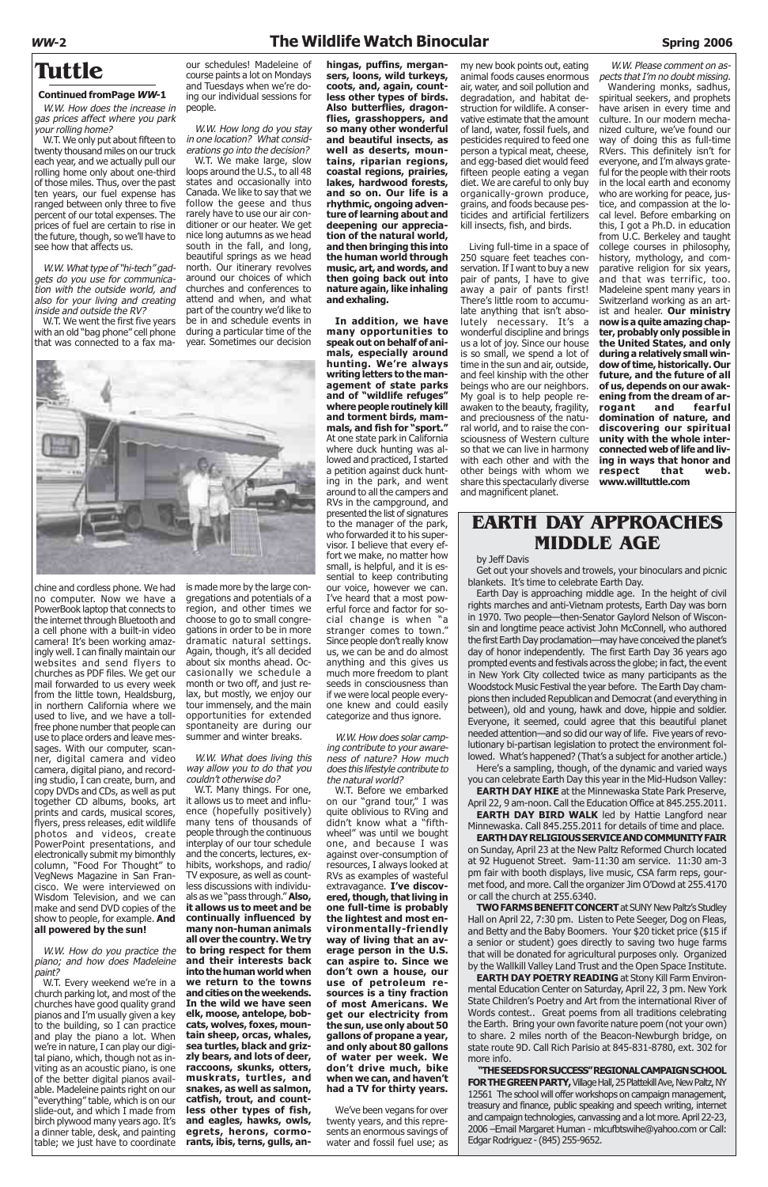W.W. How does the increase in gas prices affect where you park your rolling home?

W.T. We only put about fifteen to twenty thousand miles on our truck each year, and we actually pull our rolling home only about one-third of those miles. Thus, over the past ten years, our fuel expense has ranged between only three to five percent of our total expenses. The prices of fuel are certain to rise in the future, though, so we'll have to see how that affects us.

W.W. What type of "hi-tech" gadgets do you use for communication with the outside world, and also for your living and creating inside and outside the RV?

W.T. We went the first five years with an old "bag phone" cell phone that was connected to a fax ma-

chine and cordless phone. We had no computer. Now we have a PowerBook laptop that connects to the internet through Bluetooth and a cell phone with a built-in video camera! It's been working amazingly well. I can finally maintain our websites and send flyers to churches as PDF files. We get our mail forwarded to us every week from the little town, Healdsburg, in northern California where we used to live, and we have a tollfree phone number that people can use to place orders and leave messages. With our computer, scanner, digital camera and video camera, digital piano, and recording studio, I can create, burn, and copy DVDs and CDs, as well as put together CD albums, books, art prints and cards, musical scores, flyers, press releases, edit wildlife photos and videos, create PowerPoint presentations, and electronically submit my bimonthly column, "Food For Thought" to VegNews Magazine in San Francisco. We were interviewed on Wisdom Television, and we can make and send DVD copies of the show to people, for example. **And all powered by the sun!**

**Tuttle Tuttle Tuttle our schedules! Madeleine of** course paints a lot on Mondays and Tuesdays when we're doing our individual sessions for people.

W.W. How do you practice the piano; and how does Madeleine paint?

W.T. Every weekend we're in a church parking lot, and most of the churches have good quality grand pianos and I'm usually given a key to the building, so I can practice and play the piano a lot. When we're in nature, I can play our digital piano, which, though not as inviting as an acoustic piano, is one of the better digital pianos available. Madeleine paints right on our "everything" table, which is on our slide-out, and which I made from birch plywood many years ago. It's a dinner table, desk, and painting table; we just have to coordinate

# **WW-2 The Wildlife Watch Binocular Spring 2006**

#### **Continued fromPage WW-1**

W.W. How long do you stay in one location? What considerations go into the decision?

W.T. We make large, slow loops around the U.S., to all 48 states and occasionally into Canada. We like to say that we follow the geese and thus rarely have to use our air conditioner or our heater. We get nice long autumns as we head south in the fall, and long, beautiful springs as we head north. Our itinerary revolves around our choices of which churches and conferences to attend and when, and what part of the country we'd like to be in and schedule events in during a particular time of the year. Sometimes our decision



is made more by the large congregations and potentials of a region, and other times we choose to go to small congregations in order to be in more dramatic natural settings. Again, though, it's all decided about six months ahead. Occasionally we schedule a month or two off, and just relax, but mostly, we enjoy our tour immensely, and the main opportunities for extended spontaneity are during our summer and winter breaks.

W.W. What does living this way allow you to do that you couldn't otherwise do?

W.T. Many things. For one, it allows us to meet and influence (hopefully positively) many tens of thousands of people through the continuous interplay of our tour schedule and the concerts, lectures, exhibits, workshops, and radio/ TV exposure, as well as countless discussions with individuals as we "pass through." **Also, it allows us to meet and be continually influenced by many non-human animals all over the country. We try to bring respect for them and their interests back into the human world when we return to the towns and cities on the weekends. In the wild we have seen elk, moose, antelope, bobcats, wolves, foxes, mountain sheep, orcas, whales, sea turtles, black and grizzly bears, and lots of deer, raccoons, skunks, otters, muskrats, turtles, and snakes, as well as salmon, catfish, trout, and countless other types of fish, and eagles, hawks, owls, egrets, herons, cormorants, ibis, terns, gulls, an-**

**hingas, puffins, mergansers, loons, wild turkeys, coots, and, again, countless other types of birds. Also butterflies, dragonflies, grasshoppers, and so many other wonderful and beautiful insects, as well as deserts, mountains, riparian regions, coastal regions, prairies, lakes, hardwood forests, and so on. Our life is a rhythmic, ongoing adventure of learning about and deepening our appreciation of the natural world, and then bringing this into the human world through music, art, and words, and then going back out into nature again, like inhaling and exhaling.**

> **EARTH DAY HIKE** at the Minnewaska State Park Preserve, April 22, 9 am-noon. Call the Education Office at 845.255.2011. **EARTH DAY BIRD WALK** led by Hattie Langford near

**In addition, we have many opportunities to speak out on behalf of animals, especially around hunting. We're always writing letters to the management of state parks and of "wildlife refuges" where people routinely kill and torment birds, mammals, and fish for "sport."** At one state park in California where duck hunting was allowed and practiced, I started a petition against duck hunting in the park, and went around to all the campers and RVs in the campground, and presented the list of signatures to the manager of the park, who forwarded it to his supervisor. I believe that every effort we make, no matter how small, is helpful, and it is essential to keep contributing our voice, however we can. I've heard that a most powerful force and factor for social change is when "a stranger comes to town." Since people don't really know us, we can be and do almost anything and this gives us much more freedom to plant seeds in consciousness than if we were local people everyone knew and could easily categorize and thus ignore.

W.W. How does solar camping contribute to your awareness of nature? How much does this lifestyle contribute to the natural world?

W.T. Before we embarked on our "grand tour," I was quite oblivious to RVing and didn't know what a "fifthwheel" was until we bought one, and because I was against over-consumption of resources, I always looked at RVs as examples of wasteful extravagance. **I've discovered, though, that living in one full-time is probably the lightest and most environmentally-friendly way of living that an average person in the U.S. can aspire to. Since we don't own a house, our use of petroleum resources is a tiny fraction of most Americans. We get our electricity from the sun, use only about 50 gallons of propane a year, and only about 80 gallons of water per week. We don't drive much, bike when we can, and haven't had a TV for thirty years.** We've been vegans for over twenty years, and this represents an enormous savings of water and fossil fuel use; as

my new book points out, eating animal foods causes enormous air, water, and soil pollution and degradation, and habitat destruction for wildlife. A conservative estimate that the amount of land, water, fossil fuels, and pesticides required to feed one person a typical meat, cheese, and egg-based diet would feed fifteen people eating a vegan diet. We are careful to only buy organically-grown produce, grains, and foods because pesticides and artificial fertilizers kill insects, fish, and birds.

Living full-time in a space of 250 square feet teaches conservation. If I want to buy a new pair of pants, I have to give away a pair of pants first! There's little room to accumulate anything that isn't absolutely necessary. It's a wonderful discipline and brings us a lot of joy. Since our house is so small, we spend a lot of time in the sun and air, outside, and feel kinship with the other beings who are our neighbors. My goal is to help people reawaken to the beauty, fragility, and preciousness of the natural world, and to raise the consciousness of Western culture so that we can live in harmony with each other and with the other beings with whom we share this spectacularly diverse and magnificent planet.

W.W. Please comment on aspects that I'm no doubt missing.

Wandering monks, sadhus, spiritual seekers, and prophets have arisen in every time and culture. In our modern mechanized culture, we've found our way of doing this as full-time RVers. This definitely isn't for everyone, and I'm always grateful for the people with their roots in the local earth and economy who are working for peace, justice, and compassion at the local level. Before embarking on this, I got a Ph.D. in education from U.C. Berkeley and taught college courses in philosophy, history, mythology, and comparative religion for six years, and that was terrific, too. Madeleine spent many years in Switzerland working as an artist and healer. **Our ministry now is a quite amazing chapter, probably only possible in the United States, and only during a relatively small window of time, historically. Our future, and the future of all of us, depends on our awakening from the dream of arrogant and fearful domination of nature, and discovering our spiritual unity with the whole interconnected web of life and living in ways that honor and respect that web. www.willtuttle.com**

# **EARTH DAY APPROACHES MIDDLE AGE**

### by Jeff Davis

Get out your shovels and trowels, your binoculars and picnic blankets. It's time to celebrate Earth Day.

Earth Day is approaching middle age. In the height of civil rights marches and anti-Vietnam protests, Earth Day was born in 1970. Two people—then-Senator Gaylord Nelson of Wisconsin and longtime peace activist John McConnell, who authored the first Earth Day proclamation—may have conceived the planet's day of honor independently. The first Earth Day 36 years ago prompted events and festivals across the globe; in fact, the event in New York City collected twice as many participants as the Woodstock Music Festival the year before. The Earth Day champions then included Republican and Democrat (and everything in between), old and young, hawk and dove, hippie and soldier. Everyone, it seemed, could agree that this beautiful planet needed attention—and so did our way of life. Five years of revolutionary bi-partisan legislation to protect the environment followed. What's happened? (That's a subject for another article.)

Here's a sampling, though, of the dynamic and varied ways you can celebrate Earth Day this year in the Mid-Hudson Valley:

Minnewaska. Call 845.255.2011 for details of time and place.

**EARTH DAY RELIGIOUS SERVICE AND COMMUNITY FAIR** on Sunday, April 23 at the New Paltz Reformed Church located at 92 Huguenot Street. 9am-11:30 am service. 11:30 am-3 pm fair with booth displays, live music, CSA farm reps, gourmet food, and more. Call the organizer Jim O'Dowd at 255.4170 or call the church at 255.6340. **TWO FARMS BENEFIT CONCERT** at SUNY New Paltz's Studley Hall on April 22, 7:30 pm. Listen to Pete Seeger, Dog on Fleas, and Betty and the Baby Boomers. Your \$20 ticket price (\$15 if a senior or student) goes directly to saving two huge farms that will be donated for agricultural purposes only. Organized by the Wallkill Valley Land Trust and the Open Space Institute. **EARTH DAY POETRY READING** at Stony Kill Farm Environmental Education Center on Saturday, April 22, 3 pm. New York State Children's Poetry and Art from the international River of Words contest.. Great poems from all traditions celebrating the Earth. Bring your own favorite nature poem (not your own) to share. 2 miles north of the Beacon-Newburgh bridge, on state route 9D. Call Rich Parisio at 845-831-8780, ext. 302 for more info. **"THE SEEDS FOR SUCCESS" REGIONAL CAMPAIGN SCHOOL FOR THE GREEN PARTY,** Village Hall, 25 Plattekill Ave, New Paltz, NY 12561 The school will offer workshops on campaign management, treasury and finance, public speaking and speech writing, internet and campaign technologies, canvassing and a lot more. April 22-23, 2006 –Email Margaret Human - mlcufbtswihe@yahoo.com or Call: Edgar Rodriguez - (845) 255-9652.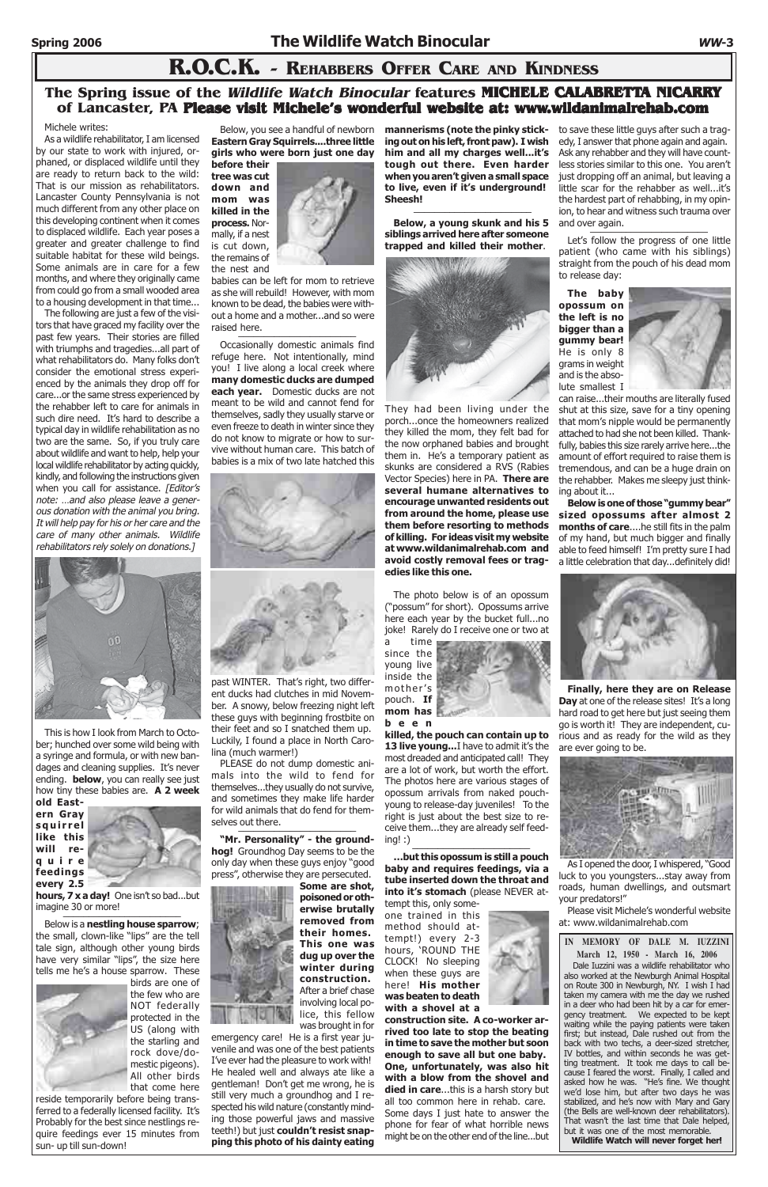# **R.O.C.K. - REHABBERS OFFER CARE AND KINDNESS**

### Michele writes:

As a wildlife rehabilitator, I am licensed by our state to work with injured, orphaned, or displaced wildlife until they are ready to return back to the wild: That is our mission as rehabilitators. Lancaster County Pennsylvania is not much different from any other place on this developing continent when it comes to displaced wildlife. Each year poses a greater and greater challenge to find suitable habitat for these wild beings. Some animals are in care for a few months, and where they originally came from could go from a small wooded area to a housing development in that time...

**hours, 7 x a day!** One isn't so bad...but imagine 30 or more!

**AND** 

The following are just a few of the visitors that have graced my facility over the past few years. Their stories are filled with triumphs and tragedies...all part of what rehabilitators do. Many folks don't consider the emotional stress experienced by the animals they drop off for care...or the same stress experienced by the rehabber left to care for animals in such dire need. It's hard to describe a typical day in wildlife rehabilitation as no two are the same. So, if you truly care about wildlife and want to help, help your local wildlife rehabilitator by acting quickly, kindly, and following the instructions given when you call for assistance. [Editor's note: …and also please leave a generous donation with the animal you bring. It will help pay for his or her care and the care of many other animals. Wildlife rehabilitators rely solely on donations.]



babies can be left for mom to retrieve as she will rebuild! However, with mom known to be dead, the babies were without a home and a mother...and so were raised here.

This is how I look from March to October; hunched over some wild being with a syringe and formula, or with new bandages and cleaning supplies. It's never ending. **below**, you can really see just how tiny these babies are. **A 2 week old East-**

**ern Gray squirrel like this will require**



#### **feedings every 2.5**

PLEASE do not dump domestic animals into the wild to fend for themselves...they usually do not survive, and sometimes they make life harder for wild animals that do fend for themselves out there.

**"Mr. Personality" - the groundhog!** Groundhog Day seems to be the only day when these guys enjoy "good ", otherwise they are persecuted.

Below is a **nestling house sparrow**; the small, clown-like "lips" are the tell tale sign, although other young birds have very similar "lips", the size here tells me he's a house sparrow. These



birds are one of the few who are NOT federally protected in the US (along with the starling and rock dove/domestic pigeons). All other birds that come here

reside temporarily before being transferred to a federally licensed facility. It's Probably for the best since nestlings require feedings ever 15 minutes from sun- up till sun-down!

## **The Spring issue of the Wildlife Watch Binocular features MICHELE CALABRETTA NICARRY of Lancaster, PA Please visit Michele's wonderful website at: www.wildanimalrehab.com**

Below, you see a handful of newborn **Eastern Gray Squirrels....three little girls who were born just one day**



**killed, the pouch can contain up to 13 live young...** I have to admit it's the most dreaded and anticipated call! They are a lot of work, but worth the effort. The photos here are various stages of opossum arrivals from naked pouchyoung to release-day juveniles! To the right is just about the best size to receive them...they are already self feed $ing!$  :)

Occasionally domestic animals find refuge here. Not intentionally, mind you! I live along a local creek where **many domestic ducks are dumped each year.** Domestic ducks are not meant to be wild and cannot fend for themselves, sadly they usually starve or even freeze to death in winter since they do not know to migrate or how to survive without human care. This batch of babies is a mix of two late hatched this

to save these little guys after such a tragedy, I answer that phone again and again. Ask any rehabber and they will have countless stories similar to this one. You aren't just dropping off an animal, but leaving a little scar for the rehabber as well...it's the hardest part of rehabbing, in my opinion, to hear and witness such trauma over and over again.



past WINTER. That's right, two different ducks had clutches in mid November. A snowy, below freezing night left these guys with beginning frostbite on their feet and so I snatched them up. Luckily, I found a place in North Carolina (much warmer!)

**Some are shot, poisoned or otherwise brutally removed from their homes. This one was dug up over the winter during construction.** After a brief chase involving local police, this fellow was brought in for

emergency care! He is a first year juvenile and was one of the best patients I've ever had the pleasure to work with! He healed well and always ate like a gentleman! Don't get me wrong, he is still very much a groundhog and I respected his wild nature (constantly minding those powerful jaws and massive teeth!) but just **couldn't resist snapping this photo of his dainty eating**

**mannerisms (note the pinky sticking out on his left, front paw). I wish him and all my charges well...it's tough out there. Even harder when you aren't given a small space to live, even if it's underground! Sheesh!** \_\_\_\_\_\_\_\_\_\_\_\_\_\_\_\_\_\_\_\_\_\_\_

**Below, a young skunk and his 5 siblings arrived here after someone trapped and killed their mother**.



They had been living under the porch...once the homeowners realized they killed the mom, they felt bad for the now orphaned babies and brought them in. He's a temporary patient as skunks are considered a RVS (Rabies Vector Species) here in PA. **There are several humane alternatives to encourage unwanted residents out from around the home, please use them before resorting to methods of killing. For ideas visit my website at www.wildanimalrehab.com and avoid costly removal fees or tragedies like this one.**

The photo below is of an opossum ("possum" for short). Opossums arrive here each year by the bucket full...no joke! Rarely do I receive one or two at

a time since the young live inside the mother's pouch. **If mom has**

**been**

**…but this opossum is still a pouch baby and requires feedings, via a**

**tube inserted down the throat and into it's stomach** (please NEVER attempt this, only some-

one trained in this method should attempt!) every 2-3 hours, 'ROUND THE CLOCK! No sleeping when these guys are here! **His mother was beaten to death with a shovel at a**

**construction site. A co-worker arrived too late to stop the beating in time to save the mother but soon enough to save all but one baby. One, unfortunately, was also hit with a blow from the shovel and died in care**...this is a harsh story but all too common here in rehab. care. Some days I just hate to answer the phone for fear of what horrible news might be on the other end of the line...but

Let's follow the progress of one little patient (who came with his siblings) straight from the pouch of his dead mom to release day:

**The baby opossum on the left is no bigger than a gummy bear!** He is only 8 grams in weight and is the absolute smallest I



can raise...their mouths are literally fused shut at this size, save for a tiny opening that mom's nipple would be permanently attached to had she not been killed. Thankfully, babies this size rarely arrive here...the amount of effort required to raise them is tremendous, and can be a huge drain on the rehabber. Makes me sleepy just thinking about it...

**Below is one of those "gummy bear" sized opossums after almost 2 months of care**....he still fits in the palm of my hand, but much bigger and finally able to feed himself! I'm pretty sure I had a little celebration that day...definitely did!



**Finally, here they are on Release Day** at one of the release sites! It's a long hard road to get here but just seeing them go is worth it! They are independent, curious and as ready for the wild as they are ever going to be.



As I opened the door, I whispered, "Good

luck to you youngsters...stay away from roads, human dwellings, and outsmart your predators!"

Please visit Michele's wonderful website at: www.wildanimalrehab.com

**IN MEMORY OF DALE M. IUZZINI March 12, 1950 - March 16, 2006**

Dale Iuzzini was a wildlife rehabilitator who also worked at the Newburgh Animal Hospital on Route 300 in Newburgh, NY. I wish I had taken my camera with me the day we rushed in a deer who had been hit by a car for emergency treatment. We expected to be kept waiting while the paying patients were taken first; but instead, Dale rushed out from the back with two techs, a deer-sized stretcher, IV bottles, and within seconds he was getting treatment. It took me days to call because I feared the worst. Finally, I called and asked how he was. "He's fine. We thought we'd lose him, but after two days he was stabilized, and he's now with Mary and Gary (the Bells are well-known deer rehabilitators). That wasn't the last time that Dale helped, but it was one of the most memorable. **Wildlife Watch will never forget her!**